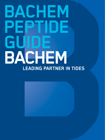# **BACHEM PEPTIDE GUIDE<br>BACHEM LEADING PARTNER IN TIDES**

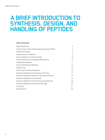### **A BRIEF INTRODUCTION TO SYNTHESIS, DESIGN, AND HANDLING OF PEPTIDES**

#### **Table of Contents**

| Peptide Synthesis                                     | 3  |
|-------------------------------------------------------|----|
| The Principle of Solid-Phase Peptide Synthesis (SPPS) | 3  |
| Peptide Purification                                  | 5  |
| <b>Quality Control of Peptides</b>                    | 5  |
| How to Design Your Custom Peptide                     | 8  |
| Amino Acids Prone to Undergo Side Reactions           | 9  |
| Peptide Modifications                                 | 11 |
| Care and Handling of Peptides                         | 14 |
| Delivery Time                                         | 15 |
| Most Frequently Asked Questions                       | 16 |
| Questions Related to the Calculation of Prices        | 17 |
| Questions Related to Quotation Inquiries and Orders   | 17 |
| Questions Related to the Synthesis                    | 18 |
| Questions Related to Purity and Analytical Methods    | 19 |
| Questions Related to Handling and Storage             | 20 |
| Conclusion                                            | 21 |
| Abbreviations                                         | 22 |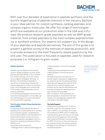

With over four decades of experience in peptide synthesis and the world's largest group of peptide chemists in the industry, Bachem is your ideal partner for custom synthesis, catalog peptides, and complex organic molecules. We offer full range of technologies which are available at our production sites in the USA and in Europe. We produce research grade peptides as well as GMP-grade material, from simple peptides to the most complex peptidomimetics or synthetic proteins. Our experts will support you in the design of your peptides and peptide derivatives. The aim of this guide is to present a general survey of the methods of peptide production, and to provide answers to the most frequently asked questions by the end user. This publication is focused on peptides used for research purposes (i.e. milligram to gram-scale).

#### **Peptide Synthesis**

Peptides can be obtained chemically by solution-phase synthesis, by solid-phase peptide synthesis (SPPS), or by a combination of both methods, which can involve various ligation strategies. Normally, at Bachem, the synthesis of peptides is carried out on solid phase, whereas the classical approach is chosen for synthesizing di- and tripeptides, and, occasionally, C-terminally modified peptides such as enzyme substrates.

In the following paragraphs we will discuss the solid-phase approach in more detail, as this methodology is of utmost importance for the synthesis of peptides.

#### **The Principle of Solid-Phase Peptide Synthesis (SPPS)**

During solid-phase peptide synthesis, a peptide which is anchored by its C-terminus to an insoluble polymer is assembled by the successive addition of protected amino acids constituting its primary structure. Hence, the peptide is elongated in the C to N direction (see General Scheme of Fmoc-SPPS on p. 5).

A synthetic cycle consists of:

• Cleavage of the α-amino protecting group

• Washing steps to remove the cleavage reagent

- Coupling of the protected amino acid • Washing steps to remove excessive
- material

As the growing chain is linked to an insoluble support excesses of reagents and by-products can be removed by repetitive washings with appropriate solvents. Only solvents which swell the peptide resin properly can be used for deprotection and coupling, whereas the washing protocol may include shrinking steps. After completion of the synthesis, the desired peptide is cleaved from the resin. Usually, this cleavage step is performed with acids of varying strength.

#### **The Solid Support**

Polystyrene, crosslinked with 1% divinylbenzene, is still the most popular carrier resin in SPPS. It is chemically inert under the conditions of SPPS, and it is readily derivatized allowing the introduction of a large variety of anchoring groups. The resulting resin swells sufficiently in solvents suitable for SPPS. The choice of the anchoring moiety is determined by the chosen synthetic strategy and by the type of C-terminus of the desired peptide.

Peptides are synthesized from the C-terminus to the N-terminus of the sequence.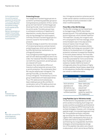As the necessary knowhow and the required equipment for performing Fmoc and Boc syntheses are available at Bachem, the synthetic strategy for your peptide can be optimized. Bachem has already suc-

ceeded in the synthesis of very complex peptides, which could not be produced elsewhere.

#### **Protecting Groups**

Two categories of protecting groups are required for synthesizing peptides: groups allowing temporary protection of the α-amino group and "permanent" protecting groups blocking the side-chain functionalities of the amino acids. The latter groups have to withstand conditions of repetitive N<sup>α-</sup> deprotection; usually, they are removed only during cleavage from solid support. Untimely removal of protecting groups is a common cause for the formation of byproducts.

The best strategy to avoid this risk consists of introducing temporary and permanent protecting groups, which can be removed by differing chemical mechanisms, i.e. orthogonal protection.

Truly orthogonal protecting groups may be split off with absolute selectivity and in any order. The "classical" Boc/Bzl-strategy does not fulfill this requirement, as both groups are cleaved with acid.

However, their acid lability differs sufficiently to afford selective removal of the α-amino protection. The combination Boc/ Bzl may be called quasi-orthogonal. The pairing Fmoc/tBu, on the other hand, is truly orthogonal. The temporary α-amino group is deblocked with base (piperidine). Thus, TFA-labile and simultaneously base-stable groups as tBu and Boc (in combination with a TFA-labile anchor) are the perfect choice for side-chain protec-





tion. Orthogonal protection schemes permit milder overall reaction conditions as well as the synthesis of partly protected or sidechain modified peptides.

#### **Fmoc/tBu or Boc/Bzl Strategy**

The Boc/Bzl-strategy can be traced back to the beginnings of SPPS, Merrifield's pioneering work. This methodology requires anchoring groups, which tolerate repetitive TFA treatment. Usually, the inorganic acid HF is employed for the final cleavage, which limits the batch size in this step and the choice of reactor. Even though many remarkable synthetic successes employing Boc/Bzl-technology are recorded in the literature, the development of orthogonal protection schemes increased the flexibility of the solid-phase method. The Fmoc/tBustrategy is the most popular amongst them. It can be automated far more conveniently than the Boc/Bzl-strategy and it can be scaled as needed. Additional levels of orthogonality allow the synthesis of highly complex peptides. Nevertheless, depending on the sequence, the Boc/Bzl-strategy still can remain a viable alternative.

| <b>Fmoc</b>                                                                                   | <b>Boc</b>                                                                                                      |
|-----------------------------------------------------------------------------------------------|-----------------------------------------------------------------------------------------------------------------|
| Routine synthesis                                                                             | Requires special<br>equipment                                                                                   |
| Acid-sensitive<br>peptides and<br>derivatives, e.g.<br>O-glycosylated or<br>sulfated peptides | Base-labile pep-<br>tides;"difficult<br>sequences"<br>(aggregation im-<br>peded by repetitive<br>TFA-treatment) |

#### **Long Peptides (up to 100 Amino Acids)**

The demand for long peptides (up to 80-100 amino acids) is increasing. Such large molecules could be successfully synthesized at Bachem by stepwise SPPS following the described strategies. However, with increasing peptide length, this standard approach may fail. One possible synthetic methodology would be the use of Native Chemical Ligation (NCL) developed by Kent et al. as a viable alternative to stepwise SPPS for synthesizing very long peptides. Synthetic strategies comprising stepwise elongation of the peptide may yield a very impure crude product, which cannot be purified by

**a)**  Protected resin (color test negative)

**b)**  Resin after removal of the protecting groups (color test positive)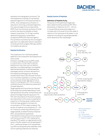

standard chromatographic protocols. The chemoselective coupling of unprotected peptide fragments is the essential feature of NCL, thus subsequent purification is reduced to removing unreacted fragments. The required segments are obtained by SPPS. Even the chemical synthesis of small proteins has become feasible, at least research quantities (10-20 mg) could be obtained employing a combination of stepwise SPPS and chemical ligation. The synthesis of proteins by this convergent approach is a viable alternative to standard recombinant technologies offering a plethora of additional options.

#### **Peptide Purification**

The properties of an individual peptide depend on the composition and sequence of amino acids.

Acidolytic cleavage following SPPS yields a crude product containing the desired peptide and impurities such as deletion peptides, truncated peptides, incompletely deprotected peptides, modified peptides, scavengers and by-products derived from the cleaved protecting groups. All these contaminants have to be removed. Purification of synthetic peptides is routinely carried out by reversed-phase high performance liquid chromatography (RP-HPLC) using  $C_{10}$ modified silica as the stationary phase and UV peak detection.

Target peptide and impurities are retained by the stationary phase depending on their hydrophobicity. Very polar contaminants will elute at the beginning with aqueous 0.1% TFA, then the polarity of the eluent is gradually reduced by continuously increasing the proportion of the less polar modifier, acetonitrile (a linear gradient is formed, the concentration of TFA is kept constant). The elution of material is monitored at 210 - 220 nm. Fractions containing sufficiently pure target peptide, as determined by analytical HPLC, are pooled and lyophilized. If the desired compound cannot be obtained sufficiently pure by RP-HPLC applying the standard TFA-system, an appropriate combination of buffer systems will be developed. If the  $C_{18}$  stationary phase is too hydrophobic, e.g. when purifying less polar peptides, other column packing materials are selected.

#### **Quality Control of Peptides**

#### **Definition of Peptide Purity**

The purity of the lyophilized target peptide is determined by analytical RP-HPLC followed by UV detection at 210 - 220 nm. It is quantified as area percentage, as it corresponds to the area of the main peak in relation to the total area of all peaks, i.e. all material (including the requested peptide) which absorbs at this wavelength.

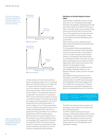If two purity values are obtained using different analytical systems, we report the final purity as the lower of the two.



 Amide bonds and other chromophores absorb at approximately 220 nm, whereas water and residual salts are not detected UV-spectrophotometrically. The ability of this method to detect and quantify impurities eluting in the proximity of the product peak, i.e. an adequate resolution, is essential. The resolution of analytical HPLC can be improved by judicious choice of the buffer system, the stationary phase, the steepness of the gradient, the column temperature and other parameters. A small change of one of these parameters may turn a barely resolved shoulder into a closely eluting peak which can be integrated and thus quantified. This is demonstrated by the HPLC-profiles above. Bachem has over 40 years experience in the analysis of synthetic peptides using cutting edge HPLC equipment. Moreover, all analytical HPLC instruments used in production and QC are subjected to daily system suitability testing to ensure the veracity of analytical data obtained.

#### **Definition of the Net Peptide Content (NPC)**

Lyophilizates of peptides contain varying amounts of non-covalently bound water. Normally, the peptide is delivered as the TFA salt which results from the RP-HPLC purification. The side-chain functionalities of Arg, Lys and His and the free N-terminus will form trifluoroacetates and small amounts of TFA may adhere to the peptide. These contaminants cannot be detected by analytical HPLC.

Other salt forms of your peptide (e.g. acetate, hydrochloride) will be produced upon special request.

If not requested otherwise, peptides are isolated and provided as trifluoroacetates containing residual water. In accordance with the number of basic functionalities present in the peptide, they may contain a considerable number of counter-ions. Besides, lyophilizates of such salts are rather hygroscopic. Both water and counter-ions reduce the net peptide content. The net peptide content is defined as the

percentage of peptides relative to nonpeptidic material, mostly counter-ions and moisture.

Net peptide content and purity are not equivalent, as the NPC includes peptidic contaminants. A low NPC has to be expected for peptides containing a large proportion of basic amino acids, even if they are extremely pure. Hydrophilic peptides can absorb considerable amounts of moisture.

Quantity of lyophilizate 10 000 Absolute quantity of

The NPC can vary from batch to batch, depending on the conditions of final purification and lyophilization.

The NPC is determined by amino acid analysis or elemental analysis (CHN), as the non-peptidic contaminants do not contain nitrogen. Net peptide content and purity have to be taken into consideration when preparing solutions of biologically active peptides for assays.

At Bachem, peptides used for quantitative studies are always provided with their Net Peptide Content.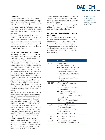

#### **Impurities**

After isolation and purification impurities may still contaminate the peptide, amongst them deletion sequences (peptides lacking at least one of the required amino acids), incompletely deprotected sequences, truncated peptides, by-products formed during peptide synthesis or under the conditions of cleavage.

Except for TFA, all potentially cytotoxic reagents used in the course of the synthesis should have been removed by the washings preceding the final cleavage or during the purification process. Traces of residual solvents can be determined by gas chromatography (GC) if required.

#### **Batch-to-batch Variability of Peptides**

The purity of a peptide, i.e. the proportion of desired product, can vary from batch to batch. When a peptide is ordered at 80% purity, the quality of the product can range between 80% and 100%. The lower the requested purity, the broader the observed variability between two lots. Hence, results obtained from quantitative assays could vary unpredictably depending on the quality of the particular batch. Batches of low purity contain a considerable number of peptidic by-products. Proportion and structure of these contaminants will vary from batch to batch. Peptidic impurities may show biological activity as well, but not necessarily the activity of the target peptide. In the worst case they may interfere with the assay.

The NPC can vary as well. It is influenced by the polarity of the peptide, the conditions of lyophilization, the conditions and duration of storage, the contact with humidity and many other parameters. Unpurified peptides should not be used in biological assays, even if the assay could be conducted employing a low-purity product. The material obtained after cleavage from the resin and precipitation still may contain a range of harmful non-peptidic impurities, e.g. small amounts of scavengers. Fortunately, peptides which were purified by standard procedures and lyophilized will contain only traces (in the ppm-range) of cytotoxic non-peptidic contaminants (such as residual solvents and scavengers from cleavage). Only TFA cannot be removed

completely due to salt formation. If residual TFA may pose a problem, we recommend ordering a more biocompatible salt form of the active peptide.

However, as an additional ion exchange step will be required, the price of the custom peptide will have to be adjusted.

#### **Recommended Peptide Purity for Varying Applications**

Four standard product grades are offered by Bachem and intermediate purity ranges can be provided on demand. The lower the level of purity, the lower the price will be. The correlation between purity and price is not linear. Efforts and costs for obtaining very pure peptides (97-99%) may increase exponentially.

All of our custom peptides from Immunograde to > 95% are purified by RP-HPLC.

| Purity                      | <b>Applications</b>                                                                                                                                                                                                                                                        |
|-----------------------------|----------------------------------------------------------------------------------------------------------------------------------------------------------------------------------------------------------------------------------------------------------------------------|
| $>95\%$                     | • NMR studies<br>· Crystallography studies<br>· Peptides used as reference in<br>final quantitative studies:<br>* Enzyme-substrate studies<br>* Receptor-ligand interaction<br>studies<br>* Blocking and competition<br>assays                                             |
| $90 - 95%$                  | • Production of monoclonal<br>antibodies<br>• Enzyme-substrate studies<br>(quantitative)<br>• Receptor-ligand interaction<br>studies (quantitative)<br>• Blocking and competition assays<br>(quantitative)<br>• ELISA and RIA (quantitative)<br>· In vivo/in vitro studies |
| >80%                        | • Western blotting studies<br>(non-quantitative)<br>• Enzyme-substrate studies<br>(non-quantitative)<br>• Phosphorylation studies                                                                                                                                          |
| Immuno-<br>grade<br>(> 65%) | • Production of polyclonal<br>antibodies<br>• Determination of the titer of<br>antibodies in standard ELISA                                                                                                                                                                |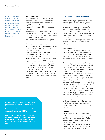All custom peptides at Bachem are manufactured to the same high standards of quality for which Bachem set the benchmark over the past 40 years. Our technical experts will be pleased to answer your questions concerning your Analytical Data Sheet (ADS).

#### **Peptide Analysis**

Bachem's custom peptides are, depending on the requested purity grade, accompanied by the analytical data obtained by HPLC and MS. Determination of the net peptide content (NPC) is supplied on request.

**HPLC:** The purity of the peptide is determined by RP-HPLC. The chromatogram additionally indicates the number and relative amount of by-products.

**MS:** The molecular mass of the peptide is determined by mass spectrometry to confirm that the correct product will be delivered. Moreover, the mass spectrum displays the masses of the main impurities. Bachem routinely performs ESI-MS (electrospray ionization) and MALDI-TOF-MS (matrix-assisted laser desorption ionization-time of flight).

**NPC**: The net peptide content is assessed by amino acid analysis (AAA) and/or by elemental analysis, as it corresponds to the nitrogen content of the peptide. Additionally, AAA allows to verify the amino acid composition of the peptide.

Especially for short peptides, e.g. enzyme substrates, elemental analysis replaces AAA as an additional confirmation of identity.

We must emphasize that standard custom peptides are not suitable for human use.

Peptides intended for use in humans have to be synthesized in a cGMP environment.

Production under cGMP conditions has to be requested explicitly. Bachem is the world leader in the production of cGMP peptides including the required documentation.

#### **How to Design Your Custom Peptide**

When conceiving a peptide sequence for custom synthesis, the feasibility of its synthesis has to be kept in mind. A range of factors influences the outcome of a peptide synthesis and the properties of the target peptide including its stability. These aspects should be considered before definitively placing an order for a custom synthesis.

Our experts will support your search for an optimal but feasible sequence without additional charge.

#### **Length of Peptide**

As the number of potential by-products grows with each additional step, the purity of the crude peptide decreases with increasing length. Nevertheless, many exceptions to this rule can be found in the literature.

Although quite a few examples for the synthesis of peptides containing up to 100 residues have been published, the solidphase synthesis of very long peptides still presents a challenging task.

At Bachem, each sequence is evaluated by our chemists before quotation. They will inform you about potential problems associated with your peptide design. If unexpected difficulties occur during synthesis or purification we will inform you, especially if the agreed purity cannot be attained. The synthesis of short peptides consisting of less than 5 predominantly hydrophobic

amino acids may pose a problem as well, as such molecules are hardly soluble. Hence, purification is impeded.

The subdivision into small, medium-sized and long peptides (eventually, small proteins) is quite arbitrary. An approximate classification is summarized in the scheme on p. 9.

#### **Polarity**

The solubility of a peptide in aqueous systems and, consequently, the ease of purification by reversed phase HPLC are strongly dependent on the overall amino acid composition.

The proteinogenic amino acids can be divided into the four groups shown below: basic, non-polar/hydrophobic, polar/un-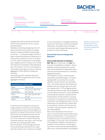



charged and acidic (see also the *Periodic Chart of Amino Acids* at p.23 for a visual representation).

Peptides containing a large proportion of basic and acidic amino acids are readily soluble in aqueous buffers at physiological pH (pH  $\sim$  7), whereas a large number of basic residues facilitates the dissolution in acidic solvent systems such as 0.1% aqueous TFA used for preparative chromatography. A large proportion of polar amino acids will improve the solubility of the peptide as well. The insertion of a Pro in the sequence may break a secondary structure or disrupt aggregation. Both effects increase the solubility.

The presence of Pro residues also facilitates the SPPS of sequences which would aggregate otherwise.

| <b>Classification of Amino Acids</b> |                                           |
|--------------------------------------|-------------------------------------------|
| Basic                                | Arg, His, Lys                             |
| Non-polar,<br>hydrophobic            | Ala. Ile, Leu, Met, Phe,<br>Pro, Trp, Val |
| Polar.<br>uncharged                  | Asn, Cys, Gly, Gln, Ser,<br>Thr, Tyr      |
| Acidic                               | Asp, Glu                                  |

A close look at the sequence will allow a rough prediction of polarity and solubility of the peptide and thus, the anticipation of problems during synthesis and purification. Difficulties can be expected when synthesizing peptides containing a large proportion of non-polar amino acids. Practically insoluble products may result, which can be purified only with great difficulties. The conservation of the biological activity limits solubilizing modifications to a peptide. But merely a minor reduction of length

or the incorporation of charged residues at the termini may help to avoid the predicted difficulties. This aspect has to be kept in mind when selecting partial sequences of a protein for custom synthesis

#### **Amino Acids Prone to Undergo Side Reactions**

#### **Amino Acids Sensitive to Oxidation**

**Met**, **Trp** and, in particular, free **Cys** residues are susceptible to oxidation. Hence, peptides containing these amino acids have to be handled with appropriate care. They should be dissolved only in carefully degassed solvents.

The oxidation of a Cys-containing peptide yields a disulfide bridge i.e. a cystine peptide, Met is converted into a sulfoxide. Both transformations are reversible. Inter- and intramolecular disulfide bonds between the Cys thiol groups are formed very rapidly at pH >7. The bridging may be reversed by treatment with reducing agents such as dithiothreitol (DTT). Hence, peptides containing free cysteine residues should be dissolved in buffer systems including a reductant. If a cysteine is not absolutely required for the biological activity, it can be replaced by the hydrophobic isostere Abu (α-aminobutyric acid) or by the polar Ser. The latter may participate in reactions of the native peptide.

Met can be replaced by the inert isosteric norleucine (Nle) residue. Both amino acids are hydrophobic. In most cases, the biological activity of the peptide remains unchanged. On the other hand, the polarity of the peptide is slightly increased by the oxidation of the thioether. The biological activities of reduced and oxidized peptide often vary; interesting effects may be generBachem scientists are the leading experts for producing research catalog and custom peptides and small proteins.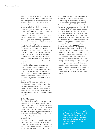ated by this readily available modification. **Tyr**- and especially **Trp**-containing peptides should be protected from intense sunlight, as both amino acids are susceptible to photo-oxidation. Oxidation of the lateral phenol and indole moieties by oxygen radicals is a rather common post-translational modification of proteins. Additionally, the indole ring is acid-sensitive.

**Asp**-containing peptides are susceptible to acid-catalyzed aspartimide formation. The ease of cyclization markedly depends on the nature of the subsequent amino acid. In case of Asp-Pro the peptide is cleaved. The motifs Asp-Gly and, to a lesser degree, Asp-Ser are especially prone to aspartimide formation. The subsequent hydrolysis of the ring yields a mixture of the β-Asp peptide and the native sequence. The concomitant racemization of Asp aggravates the situation. Aspartimide formation is equally involved in the base-catalyzed deamidation of **Asn**.

N-terminal **Gln** shows an extreme tendency to form cyclic pyroglutamate (Pyr). N-terminal acylation will suppress this side reaction. When coupling a Pyr derivative instead of Gln, a better defined product is obtained. The peptide is stabilized by an N-terminal Pyr, a very common feature in bioactive peptides.

Substance P is a perfect model for Nterminal degradation by diketopiperazine formation during storage. This side reaction may occur, if a Pro follows the N-terminal amino acid and especially, if the amino acids adjacent to this residue are unhindered (e.g. Gly).

#### **β-Sheet Formation**

Even though β-sheet formation cannot be categorized as a side reaction, it has to be mentioned in this context, as it is the cause of many problems occurring during synthesis and handling of a peptide. Incomplete solvation of the growing peptide chains due to β-sheet formation during SPPS leads to formation of deletion sequences and other by-products.

As demonstrated by structural analysis of model peptides forming β-hairpin structures in aqueous solution, a range of amino acids shows a propensity to be incorporated in β-sheets. Gln, Ile, Leu, Phe, Trp, Thr, Tyr,

and Val rank highest among them. Hence, peptides containing a large proportion or clusterings of these amino acids may show the tendency to aggregate. Naturally, the sequence will influence the extent of β-sheet formation as well, and the solubility of the peptide. The "conservative" replacement of Gln by Asn can help, Thr may be substituted by Ser. A slightly altered choice of the partial sequence of a protein to be synthesized may result in reduced aggregation. As Pro residues are the most efficient means to disrupt secondary structures, pseudoproline derivatives have been introduced for facilitating SPPS. These derivatives are obtained from Ser or Thr, which limits their use to the synthesis of peptides containing a Ser or Thr in suitable positions. They are introduced as dipeptides, Fmoc-Xaa-psiPro-OH, which will increase the production costs substantially. Ser or Thr are regenerated during acidolytic cleavage. The purity of the raw material will be considerably higher which simplifies the subsequent purification. Methods for obtaining solubilized peptide derivatives withstanding the cleavage from the resin are under investigation.

> Bachem is one of the few suppliers of Fmoc-Ser(GalNAc(Ac)<sub>3</sub>-α-D)-OH,  $Fmoc-Thr(GalNAc(Ac)_{3}$ -a-D)-OH, and the corresponding β-GalNAc and β-GlcNAc derivatives which can be employed for obtaining glycopeptides.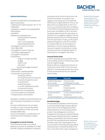

#### **Peptide Modifications**

A choice of modifications of peptides available is listed below:

- Labeling with stable isotopes (<sup>15</sup>N, <sup>2</sup>H, <sup>13</sup>C)
- PEGylation
- Acetylation, acylation (e.g. lipopeptides)
- Biotinylation
- Amidation
- Backbone modifications as
	- hydroxyethylene isosteres
	- thioethers
	- retro-inverso peptides
	- reduced peptide bonds
- Conjugation to carrier proteins (KLH, BSA, OVA)
- Conjugation to small molecules (including imaging agents)
- Conjugation to polymers
- Cyclizations
	- single or multiple disulfide bridges
	-
	- head-to-tail
	- side chain
	- (e.g. lactam bridge, thioether)
- Depsipeptides
- Hydrocarbon-stapled peptides
- Introduction/incorporation of
	- chelating moieties
	- chromophores and fluorophores
	- fluorophore/quencher pairs
	- D-enantiomers
	- maleimido groups
	- α- and N-methylamino acids
	- unusual amino acids
- Peptide alcohols and aldehydes
- C-terminal esters and thioesters
- Phosphorylation and sulfation

Acetylation, amidation and biotinylation are most frequently requested by our customers.

As these modifications only minimally increase our input, they can be offered as routine operations, which will not be charged additionally.

If you are interested in a modification not mentioned in this compilation, please inquire.

#### **Conjugation to Carrier Proteins**

Three standard proteins are used at Bachem as carriers for peptides: KLH, BSA and OVA. Usually, the peptide is coupled to

the protein either via its N-terminus or via the SH functionality of a cysteine. Conjugation via a thiol group is the preferred method as it is highly selective. Thus, an additional Cys is coupled either to the C-terminus, or, more practically, after completion of the SPPS if the desired peptide lacks this amino acid. The addition of an N-terminal Cys allows obtaining the Cys-derivative required for the conjugation together with the peptide lacking the Cys (for binding assays) from the same batch. Finally, as the yield of peptide conjugation to the carrier protein is critically important for the analysis of variations in immune response, Bachem may, upon request, incorporate an unnatural amino acid into the peptide hapten for quantitation of conjugation efficiency.

#### **Unusual Amino Acids**

α-Amino acid bearing unusual side-chain functionalities and turn mimetics are useful tools for peptide design. Bachem offers an exceptional choice of un-

usual amino acids. Most of them are available as N<sup>a</sup>-protected derivatives from stock, so they can be inserted into your peptide without delay.

| <b>Amino Acids</b>     | <b>Examples</b>                                          |
|------------------------|----------------------------------------------------------|
| Modified Standard      | D-Amino acids                                            |
| Amino Acids            | N-Methylamino acids                                      |
| Unusual Amino<br>Acids | Citrulline<br>δ-Hydroxylysine<br><b><i>B-Alanine</i></b> |
| Unnatural Amino        | 4-Fluoro-phenyl-alanine                                  |
| Acids                  | Norleucine                                               |
| and Building Blocks    | β-Mercaptopropionic acid                                 |

#### **Disulfide Bridges**

The synthesis of peptides containing three or more disulfide bridges requires special care to ensure the homogeneity and predicted bioactivity of the purified synthetic product. Two strategies are commonly employed for this purpose: oxidative folding and 'directed' disulfide formation. Oxidative folding is essentially a 'biomimetic' process by which the reduced precursor sequence is folded under near-physiological conditions to yield the thermodynamically stable oxidized product. Directed disulfide formation, on the other hand, uses unambiguous

Bachem has an excellent reputation for synthesizing peptides containing multiple disulfide bridges.

11

Bachem offers the largest range of special amino acids available for custom peptide synthesis. Please contact us for a poster Periodic Chart of Unusual α-Amino Acids.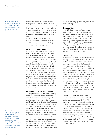Bachem has gained extensive know-how in synthesizing peptides containing two to three phosphorylated residues.

chemical methods in a stepwise manner to prepare the product with the desired disulfide connectivity, which is 'programmed' into the synthetic route. Both methods have advantages and disadvantages. They have been implemented at Bachem on mg to kg scales for the synthesis of a wide range of targets.

When required, these chemistries are always discussed in technical detail to identify the most appropriate strategy for a given custom synthesis project.

#### **Cyclization via Amide Bond**

Besides disulfide bridging, cyclization of a peptide can be achived by other methods. "Head-to-tail cyclization", an amide bond formation between the N- and the C-terminus of the peptide, can be achieved following SPPS of the side-chain protected peptide. Stabilization of a desired conformation is gained by the side-chain cyclization of ω-amino and ω-carboxy groups, which requires an additional level of orthogonality. Such lactam bridges are formed between Asp/Glu/Aad/Asu and Dap/Dab/Orn/Lys, i.e. ring size, flexibility and the direction of bond formation can be varied. Additionally, these amide bonds are more stable than disulfide bridges. If required, other modes of cyclization (e.g. formation of thioethers, metathesis) can be performed.

#### **Phosphopeptides and Sulfopeptides**

O-Phosphorylation and O-sulfation are very common post-translational modifications of proteins, and are commonly requested for synthetic peptides. However, the chemical stability of phosphorylated and sulfated peptides requires the use of specialized tactics during synthesis and purification of these molecules. At Bachem, several synthetic methodologies are commonly used for these targets, usually based on pre-derivatized building blocks to minimize the incidence of side reactions and ensure site-specific incorporation. Nonetheless, these projects require careful attention during manufacturing and handling upon receipt by our customers, and we are always happy to provide guidance on stability optimization and recommendations

to ensure the integrity of the target molecule during testing.

#### **Glycopeptides**

N- and O-Glycosylations of proteins are important post-translational modifications as well. Glycosylated peptides may act as a stimulator in the immune system. The demand for such compounds is constantly increasing even though their synthesis still represents a very challenging task. The synthetic problems are due to a variety of reasons such as the limited choice of protecting groups for the glycoside moiety and the high lability of the O-glycosidic bond.

#### **Lipopeptides**

Substantial difficulties have to be expected during the purification of lipopeptides due to their increased hydrophobicity. Before starting the synthesis of the lipopeptide, the sequence to be lipidated is studied carefully to determine the most suitable position for the introduction of the lipid moiety. A considerable number of palmitoylated peptides has been successfully synthesized at Bachem. The lipophilic cysteine derivatives Fmoc-Pam<sub>2</sub>Cys-OH and Pam<sub>3</sub>Cys-OH are available from stock. These compounds, which resemble the N-terminus of the lipoprotein from the outer membranes of *E.coli*, have been used at Bachem for synthesizing immunogenic conjugates such as peptide mitogens or vaccines.

#### **Peptides Labeled with Stable Isotopes**

The production of peptides labeled with stable isotopes such as <sup>13</sup>C, <sup>15</sup>N or <sup>2</sup>H is limited only by the commercial availability of the correspondingly labeled amino acids. Isotope labels are especially useful in NMR studies of peptides. A range of protected 15N-labeled amino acids is available from stock at Bachem. Further labeled amino acids will be acquired, if they are commercially available, for the synthesis of suitably protected derivatives. The price of the peptide will have to be increased in accordance with our expenses.

Bachem offers a vast choice of chromophores and fluorophores for the design of enzyme substrates, dye-labeled peptides, and FRET technology. Our experience and chemical know-how allows us to synthesize all types of inhibitors.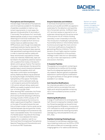

#### **Fluorophores and Chromophores**

A broad range of derivatives of fluorophores and chromophores suitable for the labeling of peptides is available to meet our customers' requirements. In most cases, the dyes are introduced either N-terminally or C-terminally. The synthesis of a C-terminally labeled peptide usually is more complex than obtaining an N-terminal modification. The incorporation of a label at the N-terminus merely means an additional step in the SPPS protocol, even though more elaborate coupling procedures may be required. The expense of many fluorescent dyes requires that specialized coupling protocols be used in order to maximize reaction yields with fewer stoichiometric equivalents of these costly raw materials. Additionally, dyes can be linked to the peptide by selective reaction with a cysteine thiol moiety or the less hindered ε-amino group of lysine. The insertion of a spacer moiety between the dye and the peptide helps to avoid interactions between the label and the peptide, which will help retain conformation and biological activity. Additional effects may be attained by varying the length, the flexibility and the hydrophilicity of the spacer. The flexible non-polar ω-amino carboxylic acids, e.g. ε-aminocaproic acid, and the hydrophilic 2-[(2-amino)-ethoxy]-ethoxy-acetic acid (AEEAc) are readily coupled to the N-terminus or to the Lys side-chain. When devising FRET substrates, the Förster distance, i.e. the distance between fluorophore and quencher allowing an efficiency of energy transfer of 50% (usually 20-90 Å), has to be achieved at the minimum to obtain a good quenching effect. It depends on the type of fluorophore/quencher pair. Only a limited number of amino acids can be inserted between dye and quencher moiety, otherwise the background fluorescence may reach unacceptable levels. The incorporation of a flexible spacer may disturb the energy transfer. For more detailed information, please visit our website or ask for our Technical Note *Chromophores/Fluorophores: Spectral Properties and Characteristics* and

our brochure *FRET Substrates.*

#### **Enzyme Substrates and Inhibitors**

C-terminal chromophores and fluorophores such as pNA and AMC are applied in substrates for the detection and quantitation of enzymatic activity. A different type of C-terminal residue is required to turn a substrate interacting with the active center of the enzyme into an inhibitor binding reversibly or even irreversibly to this site. The introduction of aldehyde, hydroxamate, fluoromethyl ketone or chloromethyl ketone functions are amongst the most common C-terminal modifications of peptides for generating effective inhibitors. The incorporation of such highly reactive moieties requires the adaptation of the synthetic strategy to each case, but our specialists can rely on their vast experience in SPPS and solution chemistry.

#### **O-Acylated Peptides**

The peptide hormone ghrelin containing an O-acylated serine residue and its analogs have found widespread application in obesity research. Bachem gained considerable experience in performing this modification during the synthesis of many ghrelin analogs available in our catalog.

#### **Acid-Sensitive Modifications**

Our chemists are able to fine-tune their synthetic tactics so precisely that even highly acid-sensitive peptides containing two or more sulfated tyrosines could be obtained.

#### **Stabilizing Modifications**

A range of modifications for prolonging the half-life and increasing the metabolic stability of bioactive peptides can be performed, including selective PEGylation, incorporation of N-methylamino acids, and generation of pseudo-peptide bonds resisting enzymatic cleavage (e.g. reduced peptide bonds, psi-  $[CH<sub>2</sub>-NH]).$ 

#### **Peptides Containing Chelating Groups**

Complexes formed between peptides bearing a chelating moiety such as DOTA or DTPA and radionuclides are increasingly used as imaging agents or for radionuclide delivery.

Bachem can rapidly deliver any peptidechelator conjugates, but the complexing of the appropriate radionuclide has to be performed by the customer.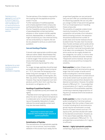Peptides prone to aggregation such as the β-amyloid fragments require a special treatment. Ask Bachem for our technical brochure on handling and solubilization of β-amyloid peptides.

Ask Bachem for our technical documentation on handling and solubilization of peptides. The derivatives of the chelators required for the coupling with the peptide are synthesized in-house.

Further examples of modified peptides and complex peptidomimetic compounds synthesized at Bachem could be added to this list. Feasibility studies for the synthesis of pseudopeptides containing hydroxyethylene or other isosteric bonds, peptide alcohols, depsipeptides, or whatever you might conceive as your new chemical entity, can be conducted by our experts. We will be very pleased to send you a customized quotation.

#### **Care and Handling of Peptides**

If stored under appropriate conditions peptides are rather stable. Nevertheless they should not be stored in solution (not even in sterile oxygen-free solution) as they may slowly chemically degrade. Frozen solutions may be kept for a few

weeks.

For longer storage, peptides should be kept as lyophilizate in a tightly closed container at <-15 °C, the lower the temperature the better (long-term storage at -50 °C or lower). Especially peptides containing Asn, Gln, Met, Cys, and/or Trp have limited shelf-lives. However, they may be shipped at room temperature, and for short-term use they may be stored in a refrigerator at 4 °C.

#### **Handling of Lyophilized Peptides**

• Weigh out peptides quickly and reseal vial tightly.

• Peptides tend to be hygroscopic, therefore allow the vial to reach ambient temperature in a desiccator prior to opening and weighing out the peptide. Adsorption of water reduces the overall peptide content and may also decrease stability.

**Please keep in mind to wear a dust respirator when handling larger amounts of peptide lyophilizates.**

#### **Solubilization of Peptides**

The reconstitution of a hydrophobic peptide may turn into an almost insurmountable obstacle in the course of your assay. As the

propertiesof peptides can vary extraordinarly, we can't offer you a standard protocol for dissolving a peptide. We can only offer you a large number of tips and tricks gained from our broad experience in handling these compounds.

The solubility of a peptide is determined mainly by its polarity. The amino acid composition will provide a first indication: before choosing a solvent, the sequence should be studied and the number of acidic, basic and neutral residues should be determined. The side-chain functionalities of acidic and basic amino acids will be charged at physiological pH. The nature of the N- and the C-terminal functionality has to be taken into consideration. The neutral amino acids can be roughly divided into two categories, non-polar, i.e. more or less hydrophobic residues and polar residues. "Dispersed" proline residues disrupt secondary structures and thus increase the solubility.

**Basic peptides** (number of basic amino acids including the N-terminal amino group larger than the number of acidic amino acids including the C-terminal carboxyl moiety) may be dissolved in a small amount of an acidic solvent such as acetic acid or trifluoroacetic acid and then diluted to the desired concentration. However, the safest diluent is PBS at pH 7.0 - 7.4 provided that a concentration of ≤1 mg/mL is sufficient. If delivered as trifluoroacetates, peptides containing a relatively large proportion of Arg and Lys residues tend to be soluble at neutral pH.

**Acidic peptides** (number of acidic amino acids including the C-terminal carboxyl group larger than the number of basic amino acids including the N-terminal amino group) may be reconstituted in a small amount of a basic solvent such as 0.1% aqueous  $\mathrm{NH}_3$  and then diluted with water to the desired concentration. However, as in the case of basic peptides, these may often be solubilized in PBS at pH 7.0 - 7.4 provided that a concentration of ≤1 mg/mL is sufficient.

#### **Neutral** or **highly hydrophobic peptides**

containing a high proportion of polar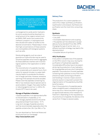

**Please note that peptides containing free cysteines should be dissolved in carefully degassed acidic buffers, as the thiol moieties will be rapidly oxidized at pH > 7 to disulfides.**

uncharged amino acids and/or hydrophobic amino acids should be dissolved in a small amount of an organic solvent such as DMSO, DMF, acetic acid, acetonitrile, methanol, propanol, or isopropanol and then diluted with water (or buffer) to the desired concentration. Please keep in mind that high concentrations of these solvents are incompatible with biological systems such as cells.

Denaturating agents, such as urea or guanidinium hydrochloride may be used to solubilize peptides which tend to aggregate. As these additives interfere with most biological systems, their application is rather limited.

The reconstitution of a peptide may take time, occasionally up to several hours. Sonication for several minutes in a water bath may be helpful to accelerate the dissolution of larger particles. However, excessive warming of the sample should be avoided. Please note that peptides containing Trp, Met or Cys residues require special care to avoid oxidation. Oxygen-free water/buffers or reducing agents such as 1,4-dithio-DLthreitol (DTT) have to be used.

#### **Storage of Peptides in Solution**

• Dissolve peptides in an appropriate buffer (cf. Solubilization of peptides, p.14). • For storage, peptide solutions should be aliquoted and kept frozen below -15 °C. Long-term storage of peptide solutions can't be recommended, especially when the peptide contains Asn, Gln, Cys, Met, or Trp.

You can download our Technical Notes and brochures from our homepage **http://www.bachem.com/**

#### **Delivery Time**

The production of a custom peptide consists of four steps: synthesis, purification, lyophilization and analysis. Synthesis and purification are the most time-consuming steps.

#### **Synthesis**

Potential problems:

- Low yield
- Incomplete deprotection and coupling

• The peptide can't be obtained in acceptable purity by standard Fmoc/tBu-SPPS. Changing the type of carrier resin, or a different synthetic strategy may lead to the desired product

• Complete failure of synthesis

#### **HPLC Purification**

A low yield or complete loss of the peptide on the HPLC column may occur during the purification of hydrophobic peptides. Considerable difficulties have to be expected during the production of very hydrophobic long peptides and very short hydrophilic peptides. The production of acidic peptides containing free cysteines is one of the more precarious tasks, as during purification and handling in neutral or basic solution extreme caution is required to prevent the oligomerization of the peptide by disulfide bond formation.

Even if the production of a peptide seems rather straightforward, unexpected problems may occur. Hence we prefer to give you an approximate delivery time instead of a fixed term. Depending on the requested purity and amount of peptide, the delivery time varies from 10 days to several weeks.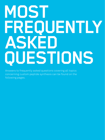## Peptide User Guide **MOST FREQUENTLY ASKED QUESTIONS**

Answers to frequently asked questions covering all topics concerning custom peptide synthesis can be found on the following pages.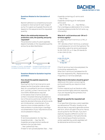

#### **Questions Related to the Calculation of Prices**

Bachem adheres to a competitive price policy based on chart prices for each range of purity. For a given purity grade the price will depend on the sequence and the requested quantity.

#### **What is the relationship between the production costs, the quantity, and purity requested?**

The production costs of custom peptides depend markedly on the requested quantity and purity as described below :



Increase of purity considerably Increase of quantity per order increases the production costs.

results in lower cost per unit.

#### **Questions Related to Quotation Inquiries and Orders**

#### **How should the peptide sequence be presented?**

Starting from the N-terminal amino acid, please use the three letter code as standard. An unmodified N-terminus is depicted as H- (not NH $_{\textrm{\tiny{2}}}$ ), a free C-terminus as -OH (not COOH). Modifications required on the lateral chain of amino acids are written in brackets following the abbreviation of the amino acid to be modified. If not explicitly denoted otherwise, all amino acids are introduced as L-enantiomers. If you require a more complex peptide, or if you have problems in producing an unambiguous presentation of your required structure, we are pleased to help you.

#### Examples:

N-terminal acetylation: Ac-Xaa-Yaa-... A peptide amide: ...-Xaa-Yaa-NH<sub>2</sub> A peptide carrying a biotinyl residue attached to the Lys side chain: ... Xaa-Lys(biotinyl)-Yaa ...

A head-to-tail cyclized peptide: (Xaa-...-Yaa)

- A peptide containing a D-amino acid: ...-Xaa-D-Yaa-...
- A peptide containing an N-methylated amino acid:

...-Xaa-N-Me-Yaa-... or ...-Xaa-MeYaa-... If an unambiguous abbreviation for a moiety is lacking, please provide the full name, e.g. chloroacetyl.

#### **What do H- on N-terminus and -OH on Cterminus signify?**

H- : signifies a free N-terminus i.e.  $\mathrm{NH}_2^{}$  or NH (Pro).

-OH : denotes a free C-terminus, a carboxylic acid (please do not omit the hyphens). The three letter code of an amino acid stands for NH-CHR-CO, i.e. H-Xaa-OH stands for H-NH-CHR-CO-OH.



If the N-terminus has to be acetylated, the H should be replaced by Ac. When the C-terminus is amidated the OH has to be replaced by  $\mathsf{NH}_2$ . Replacement by H signifies a C-terminal aldehyde.

#### **What kind of information should be given?**

Additional information concerning the purity and quantity you require is most important.

Further material such as literature references would be highly welcome, especially if you are requesting the synthesis of an unusual peptide.

#### **Should we specify the requested salt form?**

If not specified otherwise, custom peptides are delivered as TFA salts. Usually, an additional step is required to generate another salt form, which will add to the price. Hence, we will quote for the TFA salt, if you don't explicitly request a different counter-ion such as the acetate or the hydrochloride. Due to deviating purification protocols, certain peptides (e.g. acidic peptides) will be delivered as ammonium salts.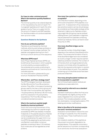#### **Do I have to order a minimal amount? What is the maximum quantity feasible at Bachem?**

The minimal quantity to be ordered depends on the requested purity, and is 5 mg for "Immunograde" peptides and 2 mg for the other grades of purity. There is no upper limit for the amount of research and GMP peptides. Our facilities enable us to produce peptides even up to ton-scale.

#### **Questions Related to the Synthesis**

#### **How do you synthesize peptides?**

Peptides are synthesized by chemical methods, either by solid-phase synthesis or by "classical" solution phase methods. The peptide is elongated starting from the Cterminus to the N-terminus of the sequence.

#### **What does SPPS mean?**

Solid-Phase Peptide Synthesis (SPPS) can be defined as the process in which a peptide is constructed by successive addition of the protected amino acids constituting its sequence, anchored via its C-terminus to an insoluble polymer.

For more information, please ask for your brochure *The Bachem Practice of SPPS*.

#### **What do Boc- and Fmoc-strategy mean?**

Two SPPS strategies have been developed, the Boc/Bzl and the Fmoc/tBu protection scheme. They differ in the types of protecting groups used for the free α-amino group and the side-chain functionalities. Boc signifies t-butyloxycarbonyl, Bzl benzyl, tBu tert-butyl, and Fmoc stands for 9-fluorenylmethyloxycarbonyl. The Fmoc/tBu strategy is now considered standard procedure.

#### **What is the maximum peptide length feasible by chemical synthesis?**

Due to the continuing improvement of the methodology the maximum peptide length accessible by SPPS was steadily increased. It depends on the peptide sequence. Peptide comprising approximately 50 amino acids can be considered as the upper limit in routine SPPS. By adapting the synthetic protocols Bachem could obtain numerous peptides consisting of about 100 residues. Such molecules can be regarded as small proteins.

#### **How many free cysteines in a peptide are acceptable?**

4 to 5 free thiol moieties, depending on the amino acid composition of the peptide, is our upper limit. A replacement of Cys residues by less sensitive isosteric serines should always be considered, as these stable analogs will be obtained in higher purity. Peptides containing a single free thiol group may be oxidized yielding dimers. Cyclic peptides or oligomers may be obtained from peptides containing several Cys residues. Hence, we have to lower the purity on offer.

#### **How many disulfide bridges can be obtained?**

The maximal number of disulfide bridges depends on the method of disulfide bond formation. The consecutive formation of two to three disulfide bridges has to be considered as routine, a larger number requires sophisticated Cys protection schemes. The number of S-S bonds which can be generated simultaneously is not limited, either the peptide will fold into the required conformation in solution or the method does not work. Thus, peptides containing up to 5 disulfide bonds have been produced at Bachem.

#### **How many phosphorylated residues can be incorporated in a peptide?**

Two to three phosphorylated residues per peptide are a reasonable limit.

#### **What would be referred to as a standard modification?**

Standard modifications affect the final price of the peptide only slightly, as they can be easily integrated into a routine synthetic protocol. This includes acetylation, amidation, biotinylation, monophosphorylation, FITC labeling and similar modifications.

#### **What is the effect of N-terminal acetylation and C-terminal amidation?**

Acetylation and amidation reduce the overall charge of a peptide, thus the solubility may decrease. These modifications could increase

the metabolic stability of the peptide as they prevent enzymatic degradation by exopeptidases. If the peptide comprises a partial sequence of a protein corresponding to an active site, the terminal acetylation/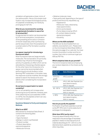

amidation will generate a closer mimic of the native protein. Hence, this simple modification may increase the biological activity of a peptide considerably, not merely by prolonging its half-life.

#### **What do you recommend for avoiding pyroglutamate formation in case of an N-terminal Gln?**

Pyroglutamate formation can be prevented by N-terminal acetylation, incorporation of the preceding amino acid, or omission of the Gln (especially when synthesizing partial sequences). Even the acceptance of a certain extent of Pyr formation could be an option.

#### **Is a spacer required for introducing a fluorescent label?**

Most fluorescent dyes are large aromatic molecules. The incorporation of such bulky moieties may influence the biological activity of a peptide, an effect which can be alleviated by interposing a flexible spacer. On the other hand, the introduction of a spacer cannot be recommended when performing structural studies or when devising FRET substrates. In the latter case, the response could be modified. We strongly advise to search the literature for precedents when considering the incorporation of a linker.

#### **Do we have to expect batch-to-batch variability?**

Lot-to-lot variability will increase when producing low purity batches. However, even when obtaining very pure peptides  $(≥ 95%$ or ≥ 97%), the net peptide content can vary from batch to batch.

#### **Questions Related to Purity and Analytical Methods**

#### **What is an ADS?**

ADS stands for Analytical Data Sheet. It contains the following data:

- Lot number
- Type of product:
- catalog or custom-synthesized
- Product number
- Product description:
- name and sequence
- Molecular formula
- Relative molecular mass
- Tests performed, depending on the type of
- product and the purity requested, e.g.
	- Appearance
	- Molecular mass, obtained by mass spectrometry
	- Amino acid analysis
	- Purity (determined by HPLC)
	- N-content (determined by
	- elemental analysis)
	- Solubility

#### **Where are the ADS available?**

The ADS can be downloaded from our website, www.bachem.com . Please click on the link *Analytical Data Sheet (ADS)* on the welcome page of our web site. You have to enter the product number and the lot number, then click on *continue* to get your ADS as PDF file.

#### **Which analytical data do you provide?**

The kind of analytical data accompanying your product depends on the chosen purity range:

| <b>Grade of</b><br><b>Purity</b> | <b>Data Obtained by</b>                                             |
|----------------------------------|---------------------------------------------------------------------|
| Immuno-<br>grade                 | HPI C and MS                                                        |
| > 80%                            | HPLC, MS, Net Peptide Con-<br>tent determination.<br>AAA on request |
| $90 - 95 \%$                     | HPLC, MS, Net Peptide Con-<br>tent determination.<br>AAA on request |
| >95%                             | HPLC, MS, Net Peptide Con-<br>tent determination,<br>AAA on request |

#### **How do you purify the peptide?**

Purification of synthetic peptides is carried out by RP-HPLC and, in some cases, by ion exchange chromatography.

#### **What does HPLC purity mean?**

The purity determined by HPLC (%) corresponds to the percentage of requested peptide in relation to the total amount of material absorbing at 210 - 220 nm i.e. the desired product, peptidic by-products and other impurities.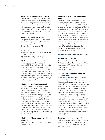#### **What does net peptide content mean?**

The net peptide content (NPC) is the fraction of peptidic material (i.e. the requested peptide and the peptidic impurities) relative to counter-ions and residual water. The latter do not contain nitrogen, allowing the determination of the net peptide content by elemental analysis. Additionally, it can be determined by AAA.

#### **What does gross weight mean?**

The gross weight of a peptide sample comprises the weight of the peptide, the salt (counter-ions) and the residual water. Gross weight = Net weight/NPC

An example:

1 g (net) of peptide (NPC = 80%) is equivalent to 1.25 g (gross weight)  $1g$  (net)/0.8 = 1.25 g (gross weight)

#### **What does immunograde mean?**

Immunograde peptides are peptides purified up to  $\geq 65\%$ . Their main use is in the production of polyclonal antibodies. At Bachem, the raw peptide obtained after cleavage from the resin is NEVER sold as "Immunograde" peptide even if it is sufficiently pure. It is ALWAYS subjected to preparative HPLC to remove the contaminants remaining from the cleavage and subsequent work-up.

#### **What are the remaining impurities?**

Not all impurities can be removed by a single HPLC run. Usually a few peptidic contaminants remain, mostly deletion sequences (peptides lacking one or more amino acids of the target sequence). Such by-products differ only slightly in polarity, hence their removal may fail. Truncation sequences (which may be generated deliberately by capping steps to avoid the formation of deletion peptides), incompletely deprotected peptides and by-products generated during the synthesis or during the final cleavage may also be found among the impurities.

#### **What kind of MS analyses are provided by Bachem?**

MALDI-TOF MS and/or ESI-MS, with 5 ppm mass accuracy.

#### **How to perform an amino acid analysis (AAA)?**

Amino acid analysis is performed by liquidphase hydrolysis of the peptide with constant-boiling hydrochloric acid (6N HCl) followed by pre-column derivatization of the free amino acids with AccQ Fluor™ (Waters). The derivatized amino acids are separated by RP-HPLC using a  $C_{18}$  4 µm column. Integration of the individual peaks allows the determination of the amino acid composition of the peptide hydrolysate. However, the indole moiety of Trp is destroyed during hydrolysis; the side-chain amide groups of Asn and Gln and the lactam cycle of Pyr will be hydrolyzed yielding Asp and Glu, respectively. Hence, the AAA lists these amino acids as Asx and Glx.

#### **Questions Related to Handling and Storage**

#### **How to dissolve a peptide?**

Please refer to the section "Solubilization of Peptides" on p. 14 and see our Technical Note *Solubilization of Peptides*, which can be downloaded from our website www.bachem.com.

#### **Can I predict if a peptide is soluble in aqueous buffer?**

Unfortunately, the solubility of a peptide in water cannot be predicted just by studying the structure. However, a few clues can be deduced from the sequence: a relatively short peptide containing Lys and Arg residues will be soluble in aqueous buffers, especially as all basic functionalities will be protonated in peptides sold as trifluoroacetate salts. The guanidine function of Arg is a strong base, whereas the ε-amino group of Lys is a moderately strong base. By contrast, "acidic" peptides containing a large proportion of Asp and Glu tend to be insoluble in water, but they are readily dissolved by diluted ammonia and by basic buffers. The side-chain carboxy functions are rather weak acids, they are considerably less acidic than the C-terminal carboxyl group.

#### **How should peptides be stored ?**

For long-term storage the lyophilizate of the peptide should be kept in the deep freeze at < -15 °C. For short-time storage a refrigerator (+4 °C) will suffice.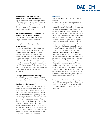

#### **How does Bachem ship peptides? Is dry ice required for the shipment?**

Dry ice is not required for the shipment of peptides (Express delivery) due to the high stability of the lyophilizates in sealed vials. Dry ice shipment will increase the price of your product considerably.

#### **Are custom peptides supplied as gross weight or as net peptide weight?**

Custom peptides are supplied as gross weight, unless requested otherwise.

#### **Are peptides containing free Cys supplied as monomers?**

The purity stated for peptides containing free Cys residues signifies the monomer content at the time the analytical HPLC was recorded. As air oxidation cannot be completely excluded in the meantime, we suggest reducing the peptide before use by treatment with dithiothreitol (DTT). For a short description of the cystine reduction using DTT please see our Technical Note *Reversal of Inadvertent Oxidation of Cys-containing Peptides* which can be downloaded from our homepage.

#### **Could you provide special packing?**

Special packaging and vialing are available upon request and will be charged additionally.

#### **How long will delivery take?**

Even if the production of a peptide seems rather straightforward, unexpected problems may occur. Hence we prefer to give you an approximate delivery time window instead of a fixed term. Depending on the requested purity, chemical complexity, and quantity of your peptide, typical delivery times range from 3-4 weeks to 2-3 months. In urgent matters please ask for our Express delivery service. Note: The requested peptide could already be offered as catalog product in our online shop comprising more than 6.500 items. If this is the case, it can be delivered within 1-2 working days.

#### **Conclusion**

Why choose Bachem for your custom synthesis?

Our technological leadership position is based on more than forty years experience in peptide manufacturing. From the outset, various new pathways of synthesis are evaluated and compared in terms of their efficiency. As part of our service, we provide technical consultancy on the synthetic feasibility, stability, and solubility of your compounds. We offer suggestions to improve proposed molecular structures that will simplify manufacture or increase stability. Bachem has the largest production capacity with four production sites in Switzerland, UK, and the USA. Automatic and semiautomatic synthesizers in all sizes and adequate equipment for purification and lyophilization are available for synthesizing your peptide in mg- to ton-scale. Reactors of all sizes are available for the synthesis of complex organic compounds. We can produce a simple research peptide in mgscale as well as the most complex peptidomimetic in kg- to ton-scale. Additionally, we can produce your active compound under cGMP-conditions including the preparation of the required documentation.

We offer high flexibility, reliable quality, competitive prices, and short delivery times. Bachem is your preferred service provider for your custom synthesis and catalog peptides.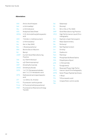#### **Abbreviations**

| <b>AAA</b>   | Amino Acid Analysis                                           |
|--------------|---------------------------------------------------------------|
| Aad          | α-Aminoadipyl                                                 |
| Abu          | a-Aminobutyryl                                                |
| <b>ADS</b>   | Analytical Data Sheet                                         |
| <b>AEEAc</b> | 2-[(2-Amino)ethoxy]ethoxyacetic<br>acid                       |
| <b>AMC</b>   | 7-Amido-4-methylcoumarin                                      |
| Asu          | a-Aminosuberyl                                                |
| Asx          | Asn or Asp (AAA)                                              |
| <b>Boc</b>   | t-Butyloxycarbonyl                                            |
| <b>BSA</b>   | Bovine Serum Albumin                                          |
| <b>Bzl</b>   | Benzyl                                                        |
| cGMP         | <b>Current Good Manufacturing</b><br>Practice                 |
| Dab          | a,y-Diaminobutyryl                                            |
| Dap          | α, β-Diaminopropionyl                                         |
| <b>DMF</b>   | Dimethylformamide                                             |
| <b>DMSO</b>  | Dimethylsulfoxide                                             |
| <b>DOTA</b>  | 1,4,7,10-Tetraazacyclododec-<br>ane-1,4,7,10-tetraacetic acid |
| <b>DPTA</b>  | Diethylenetriaminepentaacetic<br>acid                         |
| DTT          | 1,4-Dithio-DL-threitol                                        |
| <b>FITC</b>  | Fluorescein isothiocyanate                                    |
| <b>Fmoc</b>  | 9-Fluorenylmethyloxycarbonyl                                  |
| <b>FRET</b>  | Fluorescence Resonance Energy<br>Transfer                     |

| Gal         | Galactosyl                                  |
|-------------|---------------------------------------------|
| Glc         | Glucosyl                                    |
| Glx         | Gln or Glu or Pyr (AAA)                     |
| GMP         | Good Manufacturing Practice                 |
| <b>HPLC</b> | High Performance Liquid Chro-<br>matography |
| KLH         | Keyhole Limpet Hemocyanin                   |
| <b>MS</b>   | <b>Mass Spectrometry</b>                    |
| <b>Nle</b>  | Norleucyl                                   |
| <b>NPC</b>  | Net Peptide Content                         |
| Orn         | Ornithyl                                    |
| <b>OVA</b>  | Ovalbumin                                   |
| Pam         | Palmitoyl                                   |
| <b>PBS</b>  | Phosphate Buffered Saline                   |
| <b>PEG</b>  | Polyethylene Glycol                         |
| pNA         | 4-Nitroanilide                              |
| Pyr         | Pyroglutamyl                                |
| RP-         | Reversed Phase High Perfor-                 |
| <b>HPLC</b> | mance Liquid Chromatography                 |
| <b>SPPS</b> | Solid-Phase Peptide Synthesis               |
| tBu         | t-Butyl                                     |
| <b>TFA</b>  | Trifluoroacetic acid                        |
| Xaa.        | Unspecified a-amino acids                   |
| Yaa         |                                             |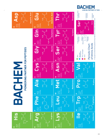